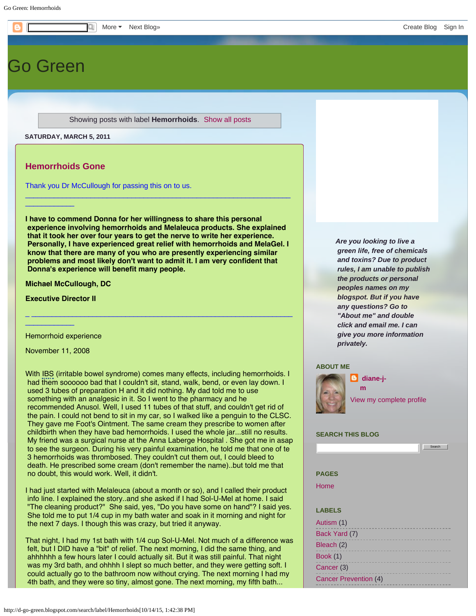# [Go Green](http://d-go-green.blogspot.com/)

Showing posts with label **Hemorrhoids**. [Show all posts](http://d-go-green.blogspot.com/)

**SATURDAY, MARCH 5, 2011**

# **[Hemorrhoids Gone](http://d-go-green.blogspot.com/2011/03/hemorrhoids-gone.html)**

 $\_$ 

Thank you Dr McCullough for passing this on to us.

**I have to commend Donna for her willingness to share this personal experience involving hemorrhoids and Melaleuca products. She explained that it took her over four years to get the nerve to write her experience. Personally, I have experienced great relief with hemorrhoids and MelaGel. I know that there are many of you who are presently experiencing similar problems and most likely don't want to admit it. I am very confident that Donna's experience will benefit many people.**

 $\Delta$  , and the set of the set of the set of the set of the set of the set of the set of the set of the set of the set

 $\mathcal{L}_\mathcal{L}$  , and the set of the set of the set of the set of the set of the set of the set of the set of the set of the set of the set of the set of the set of the set of the set of the set of the set of the set of th

**Michael McCullough, DC**

**Executive Director II**

Hemorrhoid experience

November 11, 2008

 $\_$ 

With IBS (irritable bowel syndrome) comes many effects, including hemorrhoids. I had them soooooo bad that I couldn't sit, stand, walk, bend, or even lay down. I used 3 tubes of preparation H and it did nothing. My dad told me to use something with an analgesic in it. So I went to the pharmacy and he recommended Anusol. Well, I used 11 tubes of that stuff, and couldn't get rid of the pain. I could not bend to sit in my car, so I walked like a penguin to the CLSC. They gave me Foot's Ointment. The same cream they prescribe to women after childbirth when they have bad hemorrhoids. I used the whole jar...still no results. My friend was a surgical nurse at the Anna Laberge Hospital . She got me in asap to see the surgeon. During his very painful examination, he told me that one of te 3 hemorrhoids was thrombosed. They couldn't cut them out, I could bleed to death. He prescribed some cream (don't remember the name)..but told me that no doubt, this would work. Well, it didn't.

I had just started with Melaleuca (about a month or so), and I called their product info line. I explained the story..and she asked if I had Sol-U-Mel at home. I said "The cleaning product?" She said, yes, "Do you have some on hand"? I said yes. She told me to put 1/4 cup in my bath water and soak in it morning and night for the next 7 days. I though this was crazy, but tried it anyway.

That night, I had my 1st bath with 1/4 cup Sol-U-Mel. Not much of a difference was felt, but I DID have a "bit" of relief. The next morning, I did the same thing, and ahhhhhh a few hours later I could actually sit. But it was still painful. That night was my 3rd bath, and ohhhh I slept so much better, and they were getting soft. I could actually go to the bathroom now without crying. The next morning I had my 4th bath, and they were so tiny, almost gone. The next morning, my fifth bath...

*Are you looking to live a green life, free of chemicals and toxins? Due to product rules, I am unable to publish the products or personal peoples names on my blogspot. But if you have any questions? Go to "About me" and double click and email me. I can give you more information privately.*

## **ABOUT ME**



**[m](https://www.blogger.com/profile/07485256483873776321)**

*<u>diane-i-</u>* 

[View my complete profile](https://www.blogger.com/profile/07485256483873776321)

Search |

## **SEARCH THIS BLOG**

**PAGES**

[Home](http://d-go-green.blogspot.com/)

# **LABELS**

| Autism (1)            |  |
|-----------------------|--|
| Back Yard (7)         |  |
| Bleach (2)            |  |
| <b>Book</b> (1)       |  |
| Cancer (3)            |  |
| Cancer Prevention (4) |  |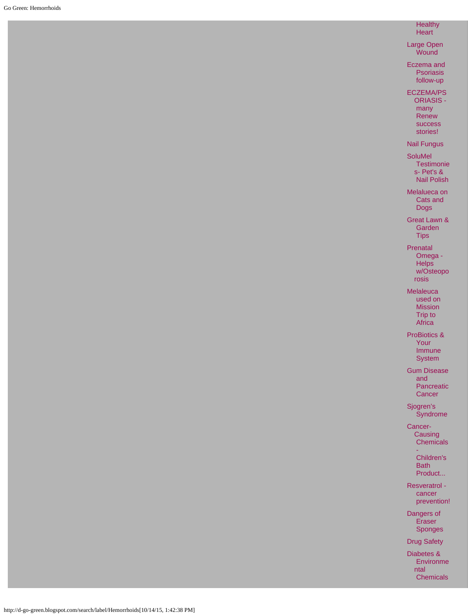#### **Healthy Heart**

[Large Open](http://d-go-green.blogspot.com/2011/03/large-open-wound.html) **Wound** 

[Eczema and](http://d-go-green.blogspot.com/2011/03/eczema-and-psoriasis-follow-up.html)  [Psoriasis](http://d-go-green.blogspot.com/2011/03/eczema-and-psoriasis-follow-up.html)  [follow-up](http://d-go-green.blogspot.com/2011/03/eczema-and-psoriasis-follow-up.html)

[ECZEMA/PS](http://d-go-green.blogspot.com/2011/03/eczemapsoriasis-many-renew-success.html) [ORIASIS -](http://d-go-green.blogspot.com/2011/03/eczemapsoriasis-many-renew-success.html)

> [many](http://d-go-green.blogspot.com/2011/03/eczemapsoriasis-many-renew-success.html)  [Renew](http://d-go-green.blogspot.com/2011/03/eczemapsoriasis-many-renew-success.html)  [success](http://d-go-green.blogspot.com/2011/03/eczemapsoriasis-many-renew-success.html)  [stories!](http://d-go-green.blogspot.com/2011/03/eczemapsoriasis-many-renew-success.html)

# [Nail Fungus](http://d-go-green.blogspot.com/2011/03/nail-fungus.html)

**[SoluMel](http://d-go-green.blogspot.com/2011/03/solumel-testimonies-pets-nail-polish.html) Testimonie** [s- Pet's &](http://d-go-green.blogspot.com/2011/03/solumel-testimonies-pets-nail-polish.html)  [Nail Polish](http://d-go-green.blogspot.com/2011/03/solumel-testimonies-pets-nail-polish.html)

[Melalueca on](http://d-go-green.blogspot.com/2011/03/melalueca-on-cats-and-dogs.html)  [Cats and](http://d-go-green.blogspot.com/2011/03/melalueca-on-cats-and-dogs.html)  [Dogs](http://d-go-green.blogspot.com/2011/03/melalueca-on-cats-and-dogs.html)

[Great Lawn &](http://d-go-green.blogspot.com/2011/03/great-lawn-garden-tips.html)  [Garden](http://d-go-green.blogspot.com/2011/03/great-lawn-garden-tips.html) **Tips** 

[Prenatal](http://d-go-green.blogspot.com/2011/03/prenatal-omega-helps-wosteoporosis.html)  [Omega -](http://d-go-green.blogspot.com/2011/03/prenatal-omega-helps-wosteoporosis.html) **Helps**  [w/Osteopo](http://d-go-green.blogspot.com/2011/03/prenatal-omega-helps-wosteoporosis.html) [rosis](http://d-go-green.blogspot.com/2011/03/prenatal-omega-helps-wosteoporosis.html)

[Melaleuca](http://d-go-green.blogspot.com/2011/03/melaleuca-used-on-mission-trip-to.html)  [used on](http://d-go-green.blogspot.com/2011/03/melaleuca-used-on-mission-trip-to.html)  [Mission](http://d-go-green.blogspot.com/2011/03/melaleuca-used-on-mission-trip-to.html)

 [Trip to](http://d-go-green.blogspot.com/2011/03/melaleuca-used-on-mission-trip-to.html) **Africa** [ProBiotics &](http://d-go-green.blogspot.com/2011/03/probiotics-your-immune-system.html)

 [Your](http://d-go-green.blogspot.com/2011/03/probiotics-your-immune-system.html)  [Immune](http://d-go-green.blogspot.com/2011/03/probiotics-your-immune-system.html) **System** 

[Gum Disease](http://d-go-green.blogspot.com/2011/03/gum-disease-and-pancreatic-cancer.html)  [and](http://d-go-green.blogspot.com/2011/03/gum-disease-and-pancreatic-cancer.html)  [Pancreatic](http://d-go-green.blogspot.com/2011/03/gum-disease-and-pancreatic-cancer.html) **Cancer** 

[Sjogren's](http://d-go-green.blogspot.com/2011/03/sjogrens-syndrome.html)  [Syndrome](http://d-go-green.blogspot.com/2011/03/sjogrens-syndrome.html)

[Cancer-](http://d-go-green.blogspot.com/2011/03/cancer-causing-chemicals-childrens-bath.html)**[Causing](http://d-go-green.blogspot.com/2011/03/cancer-causing-chemicals-childrens-bath.html) Chemicals** 

> [-](http://d-go-green.blogspot.com/2011/03/cancer-causing-chemicals-childrens-bath.html)  [Children's](http://d-go-green.blogspot.com/2011/03/cancer-causing-chemicals-childrens-bath.html)  [Bath](http://d-go-green.blogspot.com/2011/03/cancer-causing-chemicals-childrens-bath.html)  [Product...](http://d-go-green.blogspot.com/2011/03/cancer-causing-chemicals-childrens-bath.html)

[Resveratrol](http://d-go-green.blogspot.com/2011/03/resveratrol-cancer-prevention.html)   [cancer](http://d-go-green.blogspot.com/2011/03/resveratrol-cancer-prevention.html)  [prevention!](http://d-go-green.blogspot.com/2011/03/resveratrol-cancer-prevention.html)

[Dangers of](http://d-go-green.blogspot.com/2011/03/dangers-of-eraser-sponges.html)  [Eraser](http://d-go-green.blogspot.com/2011/03/dangers-of-eraser-sponges.html)  [Sponges](http://d-go-green.blogspot.com/2011/03/dangers-of-eraser-sponges.html)

[Drug Safety](http://d-go-green.blogspot.com/2011/03/drug-safety.html)

[Diabetes &](http://d-go-green.blogspot.com/2011/03/diabetes-environmental-chemicals.html)  [Environme](http://d-go-green.blogspot.com/2011/03/diabetes-environmental-chemicals.html) [ntal](http://d-go-green.blogspot.com/2011/03/diabetes-environmental-chemicals.html) **Chemicals**